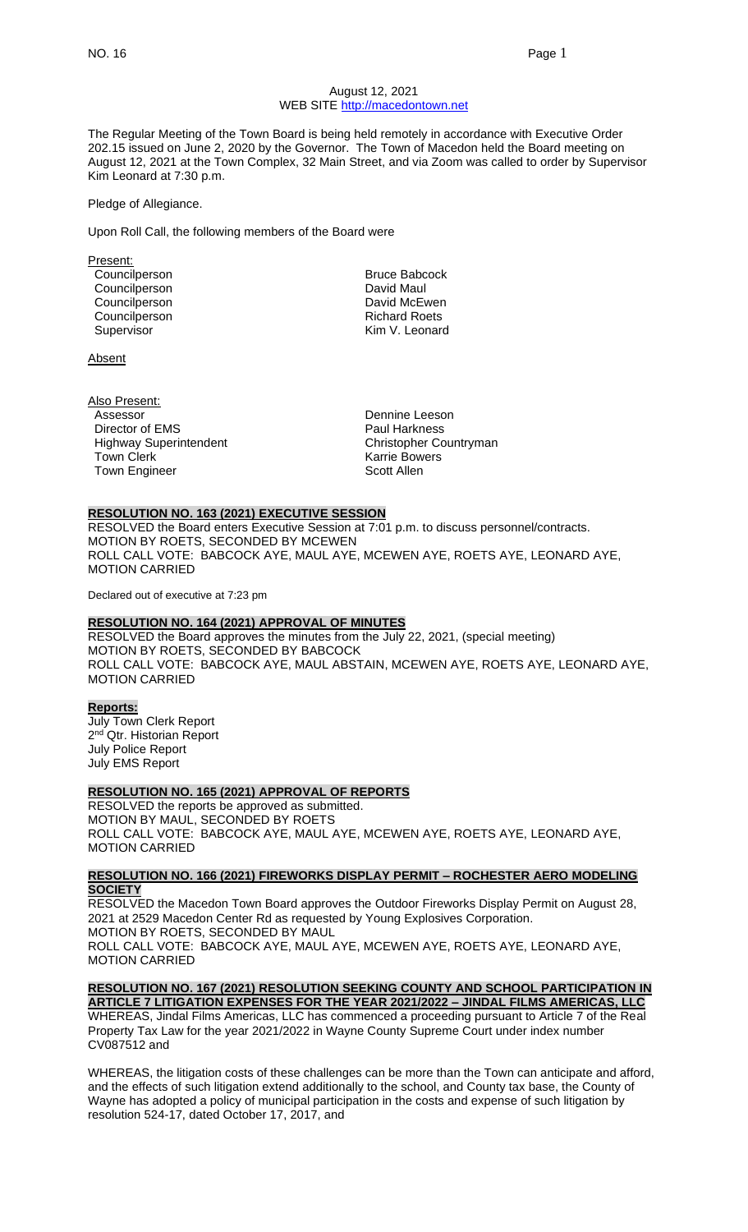#### August 12, 2021 WEB SITE [http://macedontown.net](http://macedontown.net/)

The Regular Meeting of the Town Board is being held remotely in accordance with Executive Order 202.15 issued on June 2, 2020 by the Governor. The Town of Macedon held the Board meeting on August 12, 2021 at the Town Complex, 32 Main Street, and via Zoom was called to order by Supervisor Kim Leonard at 7:30 p.m.

#### Pledge of Allegiance.

Upon Roll Call, the following members of the Board were

Present: Councilperson **Bruce Babcock** Councilperson **David Maul** Councilperson **David McEwen** Councilperson **Richard Roets**<br>
Richard Roets<br>
Rim V Leonard Supervisor

Absent

Also Present: Assessor **Dennine** Leeson Director of EMS Paul Harkness Highway Superintendent **Christopher Countryman**<br>Town Clerk Christopher Countryman Town Engineer Scott Allen

Karrie Bowers

#### **RESOLUTION NO. 163 (2021) EXECUTIVE SESSION**

RESOLVED the Board enters Executive Session at 7:01 p.m. to discuss personnel/contracts. MOTION BY ROETS, SECONDED BY MCEWEN ROLL CALL VOTE: BABCOCK AYE, MAUL AYE, MCEWEN AYE, ROETS AYE, LEONARD AYE, MOTION CARRIED

Declared out of executive at 7:23 pm

#### **RESOLUTION NO. 164 (2021) APPROVAL OF MINUTES**

RESOLVED the Board approves the minutes from the July 22, 2021, (special meeting) MOTION BY ROETS, SECONDED BY BABCOCK ROLL CALL VOTE: BABCOCK AYE, MAUL ABSTAIN, MCEWEN AYE, ROETS AYE, LEONARD AYE, MOTION CARRIED

#### **Reports:**

July Town Clerk Report 2<sup>nd</sup> Qtr. Historian Report July Police Report July EMS Report

#### **RESOLUTION NO. 165 (2021) APPROVAL OF REPORTS**

RESOLVED the reports be approved as submitted. MOTION BY MAUL, SECONDED BY ROETS ROLL CALL VOTE: BABCOCK AYE, MAUL AYE, MCEWEN AYE, ROETS AYE, LEONARD AYE, MOTION CARRIED

#### **RESOLUTION NO. 166 (2021) FIREWORKS DISPLAY PERMIT – ROCHESTER AERO MODELING SOCIETY**

RESOLVED the Macedon Town Board approves the Outdoor Fireworks Display Permit on August 28, 2021 at 2529 Macedon Center Rd as requested by Young Explosives Corporation. MOTION BY ROETS, SECONDED BY MAUL ROLL CALL VOTE: BABCOCK AYE, MAUL AYE, MCEWEN AYE, ROETS AYE, LEONARD AYE, MOTION CARRIED

# **RESOLUTION NO. 167 (2021) RESOLUTION SEEKING COUNTY AND SCHOOL PARTICIPATION IN ARTICLE 7 LITIGATION EXPENSES FOR THE YEAR 2021/2022 – JINDAL FILMS AMERICAS, LLC**

WHEREAS, Jindal Films Americas, LLC has commenced a proceeding pursuant to Article 7 of the Real Property Tax Law for the year 2021/2022 in Wayne County Supreme Court under index number CV087512 and

WHEREAS, the litigation costs of these challenges can be more than the Town can anticipate and afford, and the effects of such litigation extend additionally to the school, and County tax base, the County of Wayne has adopted a policy of municipal participation in the costs and expense of such litigation by resolution 524-17, dated October 17, 2017, and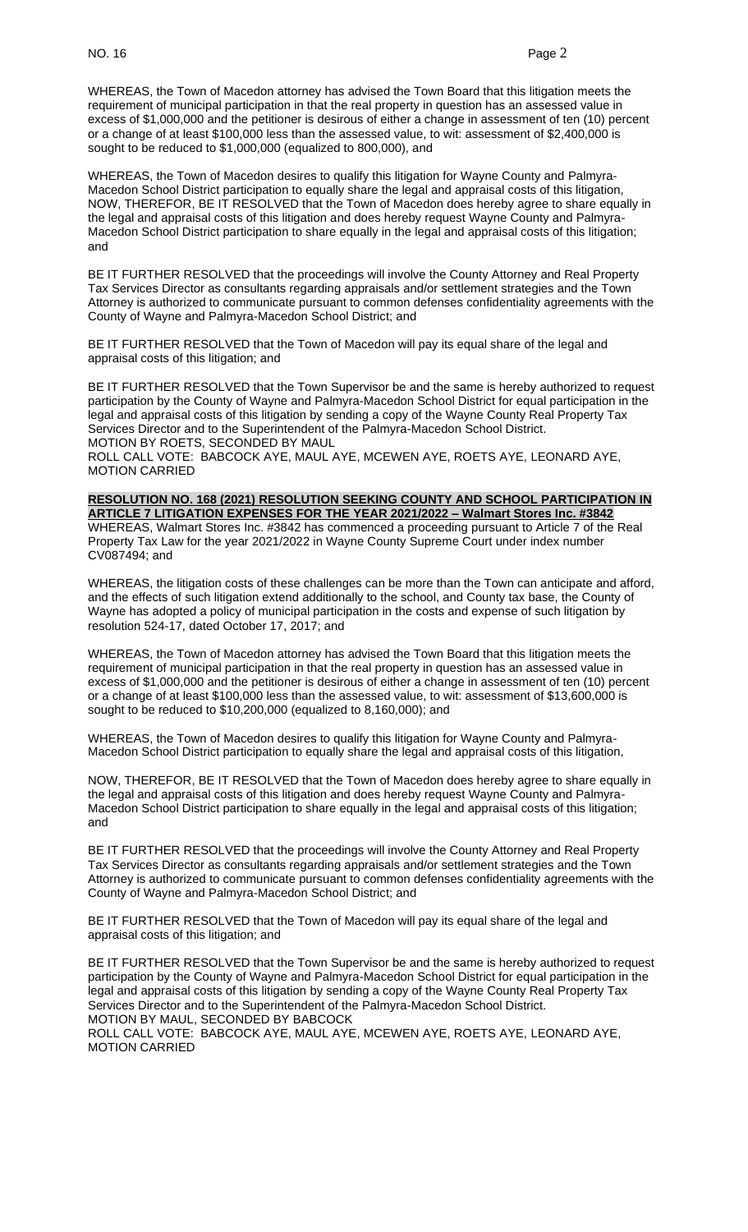WHEREAS, the Town of Macedon attorney has advised the Town Board that this litigation meets the requirement of municipal participation in that the real property in question has an assessed value in excess of \$1,000,000 and the petitioner is desirous of either a change in assessment of ten (10) percent or a change of at least \$100,000 less than the assessed value, to wit: assessment of \$2,400,000 is sought to be reduced to \$1,000,000 (equalized to 800,000), and

WHEREAS, the Town of Macedon desires to qualify this litigation for Wayne County and Palmyra-Macedon School District participation to equally share the legal and appraisal costs of this litigation, NOW, THEREFOR, BE IT RESOLVED that the Town of Macedon does hereby agree to share equally in the legal and appraisal costs of this litigation and does hereby request Wayne County and Palmyra-Macedon School District participation to share equally in the legal and appraisal costs of this litigation; and

BE IT FURTHER RESOLVED that the proceedings will involve the County Attorney and Real Property Tax Services Director as consultants regarding appraisals and/or settlement strategies and the Town Attorney is authorized to communicate pursuant to common defenses confidentiality agreements with the County of Wayne and Palmyra-Macedon School District; and

BE IT FURTHER RESOLVED that the Town of Macedon will pay its equal share of the legal and appraisal costs of this litigation; and

BE IT FURTHER RESOLVED that the Town Supervisor be and the same is hereby authorized to request participation by the County of Wayne and Palmyra-Macedon School District for equal participation in the legal and appraisal costs of this litigation by sending a copy of the Wayne County Real Property Tax Services Director and to the Superintendent of the Palmyra-Macedon School District. MOTION BY ROETS, SECONDED BY MAUL

ROLL CALL VOTE: BABCOCK AYE, MAUL AYE, MCEWEN AYE, ROETS AYE, LEONARD AYE, MOTION CARRIED

**RESOLUTION NO. 168 (2021) RESOLUTION SEEKING COUNTY AND SCHOOL PARTICIPATION IN ARTICLE 7 LITIGATION EXPENSES FOR THE YEAR 2021/2022 – Walmart Stores Inc. #3842** WHEREAS, Walmart Stores Inc. #3842 has commenced a proceeding pursuant to Article 7 of the Real Property Tax Law for the year 2021/2022 in Wayne County Supreme Court under index number CV087494; and

WHEREAS, the litigation costs of these challenges can be more than the Town can anticipate and afford, and the effects of such litigation extend additionally to the school, and County tax base, the County of Wayne has adopted a policy of municipal participation in the costs and expense of such litigation by resolution 524-17, dated October 17, 2017; and

WHEREAS, the Town of Macedon attorney has advised the Town Board that this litigation meets the requirement of municipal participation in that the real property in question has an assessed value in excess of \$1,000,000 and the petitioner is desirous of either a change in assessment of ten (10) percent or a change of at least \$100,000 less than the assessed value, to wit: assessment of \$13,600,000 is sought to be reduced to \$10,200,000 (equalized to 8,160,000); and

WHEREAS, the Town of Macedon desires to qualify this litigation for Wayne County and Palmyra-Macedon School District participation to equally share the legal and appraisal costs of this litigation,

NOW, THEREFOR, BE IT RESOLVED that the Town of Macedon does hereby agree to share equally in the legal and appraisal costs of this litigation and does hereby request Wayne County and Palmyra-Macedon School District participation to share equally in the legal and appraisal costs of this litigation; and

BE IT FURTHER RESOLVED that the proceedings will involve the County Attorney and Real Property Tax Services Director as consultants regarding appraisals and/or settlement strategies and the Town Attorney is authorized to communicate pursuant to common defenses confidentiality agreements with the County of Wayne and Palmyra-Macedon School District; and

BE IT FURTHER RESOLVED that the Town of Macedon will pay its equal share of the legal and appraisal costs of this litigation; and

BE IT FURTHER RESOLVED that the Town Supervisor be and the same is hereby authorized to request participation by the County of Wayne and Palmyra-Macedon School District for equal participation in the legal and appraisal costs of this litigation by sending a copy of the Wayne County Real Property Tax Services Director and to the Superintendent of the Palmyra-Macedon School District. MOTION BY MAUL, SECONDED BY BABCOCK ROLL CALL VOTE: BABCOCK AYE, MAUL AYE, MCEWEN AYE, ROETS AYE, LEONARD AYE, MOTION CARRIED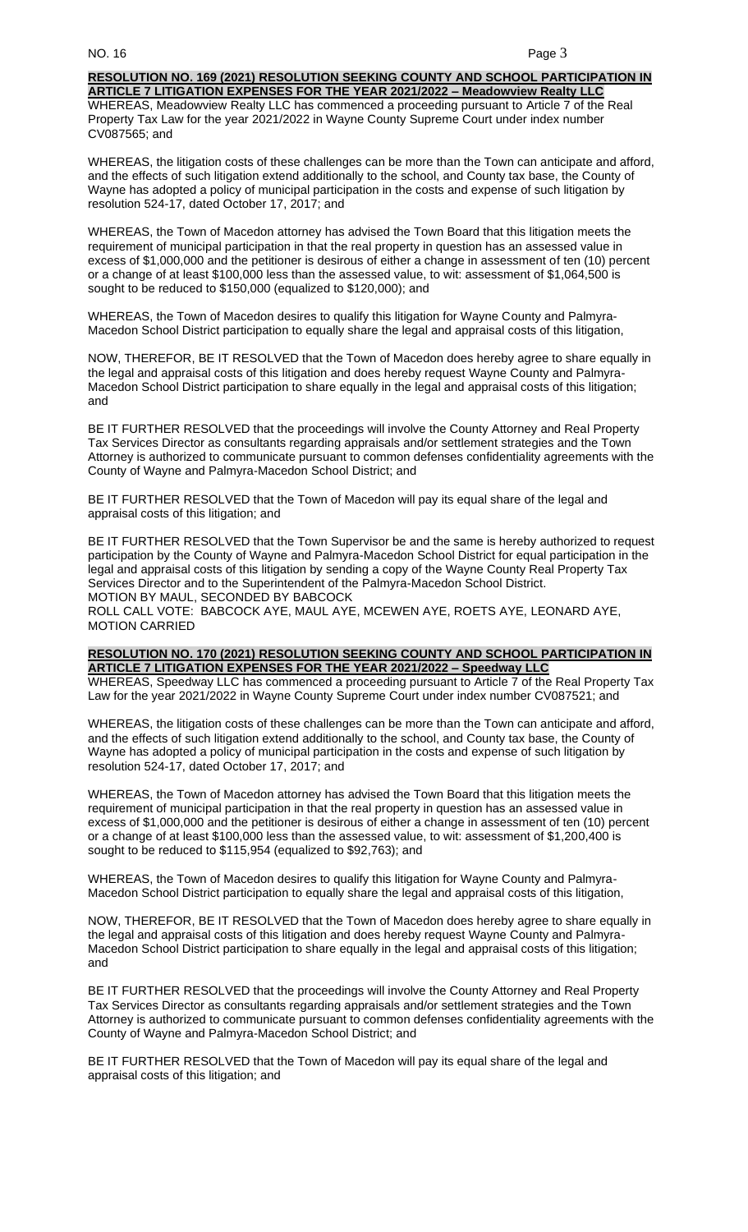# **RESOLUTION NO. 169 (2021) RESOLUTION SEEKING COUNTY AND SCHOOL PARTICIPATION IN**

**ARTICLE 7 LITIGATION EXPENSES FOR THE YEAR 2021/2022 – Meadowview Realty LLC** WHEREAS, Meadowview Realty LLC has commenced a proceeding pursuant to Article 7 of the Real Property Tax Law for the year 2021/2022 in Wayne County Supreme Court under index number CV087565; and

WHEREAS, the litigation costs of these challenges can be more than the Town can anticipate and afford, and the effects of such litigation extend additionally to the school, and County tax base, the County of Wayne has adopted a policy of municipal participation in the costs and expense of such litigation by resolution 524-17, dated October 17, 2017; and

WHEREAS, the Town of Macedon attorney has advised the Town Board that this litigation meets the requirement of municipal participation in that the real property in question has an assessed value in excess of \$1,000,000 and the petitioner is desirous of either a change in assessment of ten (10) percent or a change of at least \$100,000 less than the assessed value, to wit: assessment of \$1,064,500 is sought to be reduced to \$150,000 (equalized to \$120,000); and

WHEREAS, the Town of Macedon desires to qualify this litigation for Wayne County and Palmyra-Macedon School District participation to equally share the legal and appraisal costs of this litigation,

NOW, THEREFOR, BE IT RESOLVED that the Town of Macedon does hereby agree to share equally in the legal and appraisal costs of this litigation and does hereby request Wayne County and Palmyra-Macedon School District participation to share equally in the legal and appraisal costs of this litigation; and

BE IT FURTHER RESOLVED that the proceedings will involve the County Attorney and Real Property Tax Services Director as consultants regarding appraisals and/or settlement strategies and the Town Attorney is authorized to communicate pursuant to common defenses confidentiality agreements with the County of Wayne and Palmyra-Macedon School District; and

BE IT FURTHER RESOLVED that the Town of Macedon will pay its equal share of the legal and appraisal costs of this litigation; and

BE IT FURTHER RESOLVED that the Town Supervisor be and the same is hereby authorized to request participation by the County of Wayne and Palmyra-Macedon School District for equal participation in the legal and appraisal costs of this litigation by sending a copy of the Wayne County Real Property Tax Services Director and to the Superintendent of the Palmyra-Macedon School District. MOTION BY MAUL, SECONDED BY BABCOCK ROLL CALL VOTE: BABCOCK AYE, MAUL AYE, MCEWEN AYE, ROETS AYE, LEONARD AYE,

MOTION CARRIED

#### **RESOLUTION NO. 170 (2021) RESOLUTION SEEKING COUNTY AND SCHOOL PARTICIPATION IN ARTICLE 7 LITIGATION EXPENSES FOR THE YEAR 2021/2022 – Speedway LLC**

WHEREAS, Speedway LLC has commenced a proceeding pursuant to Article 7 of the Real Property Tax Law for the year 2021/2022 in Wayne County Supreme Court under index number CV087521; and

WHEREAS, the litigation costs of these challenges can be more than the Town can anticipate and afford, and the effects of such litigation extend additionally to the school, and County tax base, the County of Wayne has adopted a policy of municipal participation in the costs and expense of such litigation by resolution 524-17, dated October 17, 2017; and

WHEREAS, the Town of Macedon attorney has advised the Town Board that this litigation meets the requirement of municipal participation in that the real property in question has an assessed value in excess of \$1,000,000 and the petitioner is desirous of either a change in assessment of ten (10) percent or a change of at least \$100,000 less than the assessed value, to wit: assessment of \$1,200,400 is sought to be reduced to \$115,954 (equalized to \$92,763); and

WHEREAS, the Town of Macedon desires to qualify this litigation for Wayne County and Palmyra-Macedon School District participation to equally share the legal and appraisal costs of this litigation,

NOW, THEREFOR, BE IT RESOLVED that the Town of Macedon does hereby agree to share equally in the legal and appraisal costs of this litigation and does hereby request Wayne County and Palmyra-Macedon School District participation to share equally in the legal and appraisal costs of this litigation; and

BE IT FURTHER RESOLVED that the proceedings will involve the County Attorney and Real Property Tax Services Director as consultants regarding appraisals and/or settlement strategies and the Town Attorney is authorized to communicate pursuant to common defenses confidentiality agreements with the County of Wayne and Palmyra-Macedon School District; and

BE IT FURTHER RESOLVED that the Town of Macedon will pay its equal share of the legal and appraisal costs of this litigation; and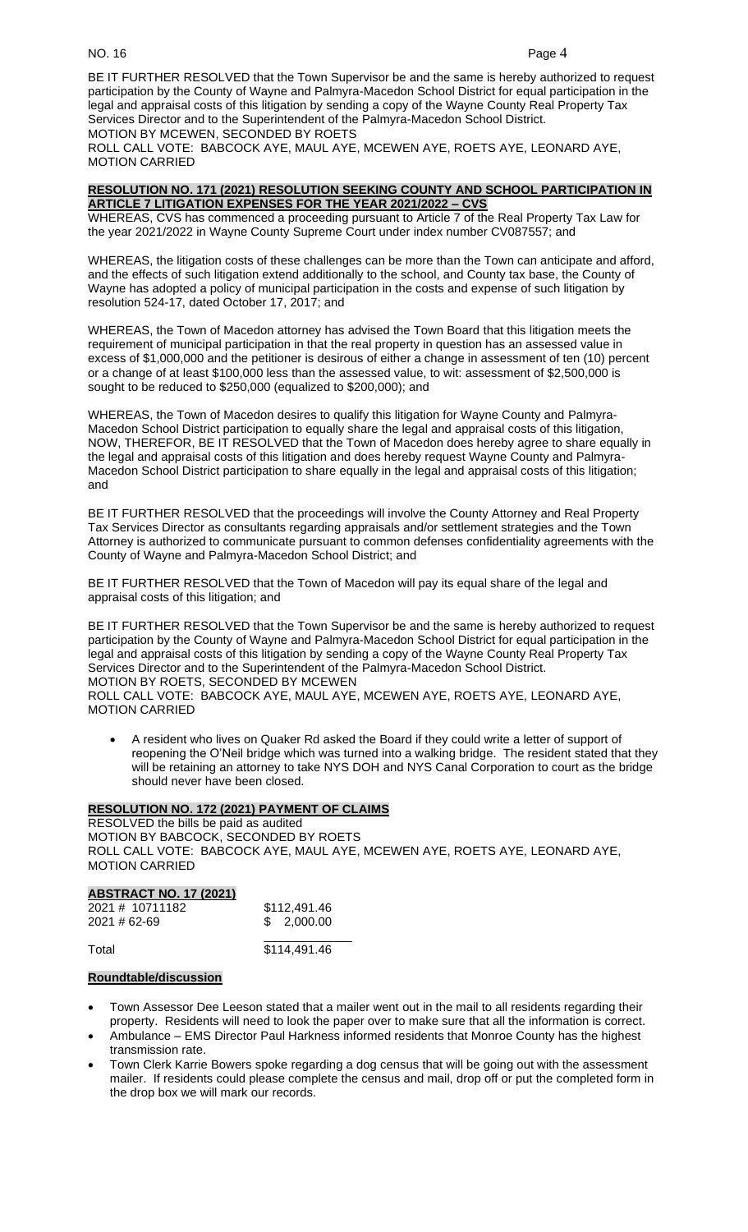BE IT FURTHER RESOLVED that the Town Supervisor be and the same is hereby authorized to request participation by the County of Wayne and Palmyra-Macedon School District for equal participation in the legal and appraisal costs of this litigation by sending a copy of the Wayne County Real Property Tax Services Director and to the Superintendent of the Palmyra-Macedon School District. MOTION BY MCEWEN, SECONDED BY ROETS

ROLL CALL VOTE: BABCOCK AYE, MAUL AYE, MCEWEN AYE, ROETS AYE, LEONARD AYE, MOTION CARRIED

#### **RESOLUTION NO. 171 (2021) RESOLUTION SEEKING COUNTY AND SCHOOL PARTICIPATION IN ARTICLE 7 LITIGATION EXPENSES FOR THE YEAR 2021/2022 – CVS**

WHEREAS, CVS has commenced a proceeding pursuant to Article 7 of the Real Property Tax Law for the year 2021/2022 in Wayne County Supreme Court under index number CV087557; and

WHEREAS, the litigation costs of these challenges can be more than the Town can anticipate and afford, and the effects of such litigation extend additionally to the school, and County tax base, the County of Wayne has adopted a policy of municipal participation in the costs and expense of such litigation by resolution 524-17, dated October 17, 2017; and

WHEREAS, the Town of Macedon attorney has advised the Town Board that this litigation meets the requirement of municipal participation in that the real property in question has an assessed value in excess of \$1,000,000 and the petitioner is desirous of either a change in assessment of ten (10) percent or a change of at least \$100,000 less than the assessed value, to wit: assessment of \$2,500,000 is sought to be reduced to \$250,000 (equalized to \$200,000); and

WHEREAS, the Town of Macedon desires to qualify this litigation for Wayne County and Palmyra-Macedon School District participation to equally share the legal and appraisal costs of this litigation, NOW, THEREFOR, BE IT RESOLVED that the Town of Macedon does hereby agree to share equally in the legal and appraisal costs of this litigation and does hereby request Wayne County and Palmyra-Macedon School District participation to share equally in the legal and appraisal costs of this litigation; and

BE IT FURTHER RESOLVED that the proceedings will involve the County Attorney and Real Property Tax Services Director as consultants regarding appraisals and/or settlement strategies and the Town Attorney is authorized to communicate pursuant to common defenses confidentiality agreements with the County of Wayne and Palmyra-Macedon School District; and

BE IT FURTHER RESOLVED that the Town of Macedon will pay its equal share of the legal and appraisal costs of this litigation; and

BE IT FURTHER RESOLVED that the Town Supervisor be and the same is hereby authorized to request participation by the County of Wayne and Palmyra-Macedon School District for equal participation in the legal and appraisal costs of this litigation by sending a copy of the Wayne County Real Property Tax Services Director and to the Superintendent of the Palmyra-Macedon School District. MOTION BY ROETS, SECONDED BY MCEWEN ROLL CALL VOTE: BABCOCK AYE, MAUL AYE, MCEWEN AYE, ROETS AYE, LEONARD AYE, MOTION CARRIED

• A resident who lives on Quaker Rd asked the Board if they could write a letter of support of reopening the O'Neil bridge which was turned into a walking bridge. The resident stated that they will be retaining an attorney to take NYS DOH and NYS Canal Corporation to court as the bridge should never have been closed.

# **RESOLUTION NO. 172 (2021) PAYMENT OF CLAIMS**

RESOLVED the bills be paid as audited MOTION BY BABCOCK, SECONDED BY ROETS ROLL CALL VOTE: BABCOCK AYE, MAUL AYE, MCEWEN AYE, ROETS AYE, LEONARD AYE, MOTION CARRIED

# **ABSTRACT NO. 17 (2021)**

| 2021 # 10711182<br>2021 # 62-69 | \$112,491.46<br>\$2,000.00 |  |
|---------------------------------|----------------------------|--|
| Total                           | \$114,491.46               |  |

### **Roundtable/discussion**

- Town Assessor Dee Leeson stated that a mailer went out in the mail to all residents regarding their property. Residents will need to look the paper over to make sure that all the information is correct.
- Ambulance EMS Director Paul Harkness informed residents that Monroe County has the highest transmission rate.
- Town Clerk Karrie Bowers spoke regarding a dog census that will be going out with the assessment mailer. If residents could please complete the census and mail, drop off or put the completed form in the drop box we will mark our records.